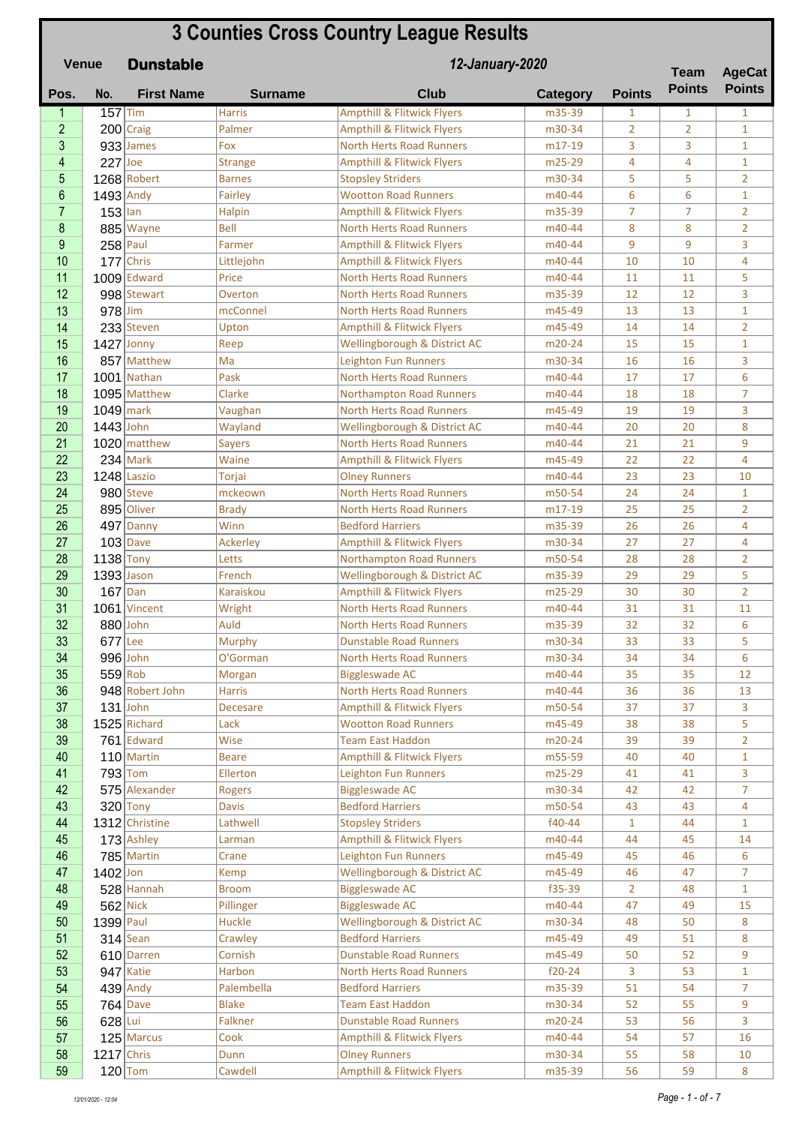## **3 Counties Cross Country League Results**

| <b>Venue</b> |                |              | <b>Dunstable</b>  | 12-January-2020     |                                                                          |                  |                | <b>Team</b>    | <b>AgeCat</b>  |
|--------------|----------------|--------------|-------------------|---------------------|--------------------------------------------------------------------------|------------------|----------------|----------------|----------------|
|              | Pos.           | No.          | <b>First Name</b> | <b>Surname</b>      | <b>Club</b>                                                              | <b>Category</b>  | <b>Points</b>  | <b>Points</b>  | <b>Points</b>  |
|              | 1              | $157$ Tim    |                   | <b>Harris</b>       | <b>Ampthill &amp; Flitwick Flyers</b>                                    | m35-39           | 1              | 1              | $\mathbf{1}$   |
|              | $\overline{2}$ |              | $200$ Craig       | Palmer              | <b>Ampthill &amp; Flitwick Flyers</b>                                    | m30-34           | $\overline{2}$ | $\overline{2}$ | $\mathbf{1}$   |
|              | 3              |              | $933$ James       | Fox                 | <b>North Herts Road Runners</b>                                          | m17-19           | 3              | 3              | $\mathbf{1}$   |
|              | 4              | $227$ Joe    |                   | <b>Strange</b>      | <b>Ampthill &amp; Flitwick Flyers</b>                                    | m25-29           | 4              | 4              | $\mathbf{1}$   |
|              | 5              |              | 1268 Robert       | <b>Barnes</b>       | <b>Stopsley Striders</b>                                                 | m30-34           | 5              | 5              | $\overline{2}$ |
|              | 6              | $1493$ Andy  |                   | Fairley             | <b>Wootton Road Runners</b>                                              | m40-44           | 6              | 6              | $\mathbf{1}$   |
|              | $\overline{7}$ | $153$ lan    |                   | Halpin              | <b>Ampthill &amp; Flitwick Flyers</b>                                    | m35-39           | $\overline{7}$ | 7              | $\overline{2}$ |
|              | 8              |              | 885 Wayne         | <b>Bell</b>         | <b>North Herts Road Runners</b>                                          | m40-44           | 8              | 8              | $\overline{2}$ |
|              | 9<br>10        | $258$ Paul   | Chris             | Farmer              | <b>Ampthill &amp; Flitwick Flyers</b>                                    | m40-44<br>m40-44 | 9<br>10        | 9<br>10        | 3<br>4         |
|              | 11             | 177          | $1009$ Edward     | Littlejohn<br>Price | <b>Ampthill &amp; Flitwick Flyers</b><br><b>North Herts Road Runners</b> | m40-44           | 11             | 11             | 5              |
|              | 12             |              | 998 Stewart       | Overton             | North Herts Road Runners                                                 | m35-39           | 12             | 12             | 3              |
|              | 13             | $978$ Jim    |                   | mcConnel            | <b>North Herts Road Runners</b>                                          | m45-49           | 13             | 13             | $\mathbf{1}$   |
|              | 14             |              | 233 Steven        | Upton               | <b>Ampthill &amp; Flitwick Flyers</b>                                    | m45-49           | 14             | 14             | $\overline{2}$ |
|              | 15             |              | $1427$ Jonny      | Reep                | Wellingborough & District AC                                             | m20-24           | 15             | 15             | $\mathbf{1}$   |
|              | 16             |              | 857 Matthew       | Ma                  | <b>Leighton Fun Runners</b>                                              | m30-34           | 16             | 16             | 3              |
|              | 17             |              | 1001 Nathan       | Pask                | <b>North Herts Road Runners</b>                                          | m40-44           | 17             | 17             | 6              |
|              | 18             |              | 1095 Matthew      | Clarke              | <b>Northampton Road Runners</b>                                          | m40-44           | 18             | 18             | 7              |
|              | 19             | $1049$ mark  |                   | Vaughan             | <b>North Herts Road Runners</b>                                          | m45-49           | 19             | 19             | 3              |
|              | 20             | $1443$ John  |                   | Wayland             | Wellingborough & District AC                                             | m40-44           | 20             | 20             | 8              |
|              | 21             |              | 1020 matthew      | <b>Sayers</b>       | <b>North Herts Road Runners</b>                                          | m40-44           | 21             | 21             | 9              |
|              | 22             |              | $234$ Mark        | Waine               | <b>Ampthill &amp; Flitwick Flyers</b>                                    | m45-49           | 22             | 22             | 4              |
|              | 23             |              | 1248 Laszio       | Torjai              | <b>Olney Runners</b>                                                     | m40-44           | 23             | 23             | 10             |
|              | 24             |              | 980 Steve         | mckeown             | <b>North Herts Road Runners</b>                                          | m50-54           | 24             | 24             | $\mathbf{1}$   |
|              | 25             |              | 895 Oliver        | <b>Brady</b>        | <b>North Herts Road Runners</b>                                          | m17-19           | 25             | 25             | $\overline{2}$ |
|              | 26             |              | 497 Danny         | Winn                | <b>Bedford Harriers</b>                                                  | m35-39           | 26             | 26             | 4              |
|              | 27             |              | $103$ Dave        | Ackerley            | <b>Ampthill &amp; Flitwick Flyers</b>                                    | m30-34           | 27             | 27             | 4              |
|              | 28             | $1138$ Tony  |                   | Letts               | <b>Northampton Road Runners</b>                                          | m50-54           | 28             | 28             | $\overline{2}$ |
|              | 29             | $1393$ Jason |                   | French              | Wellingborough & District AC                                             | m35-39           | 29             | 29             | 5              |
|              | 30             | $167$ Dan    |                   | Karaiskou           | <b>Ampthill &amp; Flitwick Flyers</b>                                    | m25-29           | 30             | 30             | $\overline{2}$ |
|              | 31             |              | 1061 Vincent      | Wright              | <b>North Herts Road Runners</b>                                          | m40-44           | 31             | 31             | 11             |
|              | 32             |              | 880 John          | Auld                | <b>North Herts Road Runners</b>                                          | m35-39           | 32             | 32             | 6              |
|              | 33             | $677$ Lee    |                   | Murphy              | <b>Dunstable Road Runners</b>                                            | m30-34           | 33             | 33             | 5              |
|              | 34             |              | 996 John          | O'Gorman            | <b>North Herts Road Runners</b>                                          | m30-34           | 34             | 34             | 6              |
|              | 35             | $559$ Rob    |                   | Morgan              | <b>Biggleswade AC</b>                                                    | m40-44           | 35             | 35             | 12             |
|              | 36             |              | 948 Robert John   | <b>Harris</b>       | <b>North Herts Road Runners</b>                                          | m40-44           | 36             | 36             | 13             |
|              | 37             |              | $131$ John        | <b>Decesare</b>     | <b>Ampthill &amp; Flitwick Flyers</b>                                    | m50-54           | 37             | 37             | 3              |
|              | 38             |              | $1525$ Richard    | Lack                | <b>Wootton Road Runners</b>                                              | m45-49           | 38             | 38             | 5              |
|              | 39             |              | $761$ Edward      | Wise                | <b>Team East Haddon</b>                                                  | m20-24           | 39             | 39             | $\overline{2}$ |
|              | 40             |              | $110$ Martin      | <b>Beare</b>        | <b>Ampthill &amp; Flitwick Flyers</b>                                    | m55-59           | 40             | 40             | $\mathbf{1}$   |
|              | 41             |              | $793$ Tom         | Ellerton            | Leighton Fun Runners                                                     | m25-29           | 41             | 41             | 3              |
|              | 42             |              | 575 Alexander     | <b>Rogers</b>       | <b>Biggleswade AC</b>                                                    | m30-34           | 42             | 42             | $\overline{7}$ |
|              | 43             |              | $320$ Tony        | <b>Davis</b>        | <b>Bedford Harriers</b>                                                  | m50-54           | 43             | 43             | 4              |
|              | 44             |              | 1312 Christine    | Lathwell            | <b>Stopsley Striders</b>                                                 | f40-44           | $\mathbf{1}$   | 44             | $\mathbf{1}$   |
|              | 45             |              | $173$ Ashley      | Larman              | <b>Ampthill &amp; Flitwick Flyers</b>                                    | m40-44           | 44             | 45             | 14             |
|              | 46             |              | $785$ Martin      | Crane               | <b>Leighton Fun Runners</b>                                              | m45-49           | 45             | 46             | 6              |
|              | 47             | $1402$ Jon   |                   | Kemp                | Wellingborough & District AC                                             | m45-49           | 46             | 47             | $\overline{7}$ |
|              | 48             |              | $528$ Hannah      | <b>Broom</b>        | <b>Biggleswade AC</b>                                                    | f35-39           | $\overline{2}$ | 48             | $\mathbf{1}$   |
|              | 49             |              | $562$ Nick        | Pillinger           | <b>Biggleswade AC</b>                                                    | m40-44           | 47             | 49             | 15             |
|              | 50             | $1399$ Paul  |                   | Huckle              | Wellingborough & District AC                                             | m30-34           | 48             | 50             | 8              |
|              | 51             |              | $314$ Sean        | Crawley             | <b>Bedford Harriers</b>                                                  | m45-49           | 49             | 51             | 8              |
|              | 52             |              | 610 Darren        | Cornish             | <b>Dunstable Road Runners</b>                                            | m45-49           | 50             | 52             | 9              |
|              | 53             |              | 947 Katie         | Harbon              | <b>North Herts Road Runners</b>                                          | $f20-24$         | 3              | 53             | $\mathbf{1}$   |
|              | 54             |              | $439$ Andy        | Palembella          | <b>Bedford Harriers</b>                                                  | m35-39           | 51             | 54             | 7              |
|              | 55             |              | $764$ Dave        | <b>Blake</b>        | <b>Team East Haddon</b>                                                  | m30-34           | 52             | 55             | 9              |
|              | 56             | 628 Lui      |                   | Falkner             | <b>Dunstable Road Runners</b>                                            | m20-24           | 53             | 56             | 3              |
|              | 57             |              | 125 Marcus        | Cook                | <b>Ampthill &amp; Flitwick Flyers</b>                                    | m40-44           | 54             | 57             | 16             |
|              | 58             | $1217$ Chris |                   | Dunn                | <b>Olney Runners</b>                                                     | m30-34           | 55             | 58             | 10             |
|              | 59             |              | $120$ Tom         | Cawdell             | <b>Ampthill &amp; Flitwick Flyers</b>                                    | m35-39           | 56             | 59             | 8              |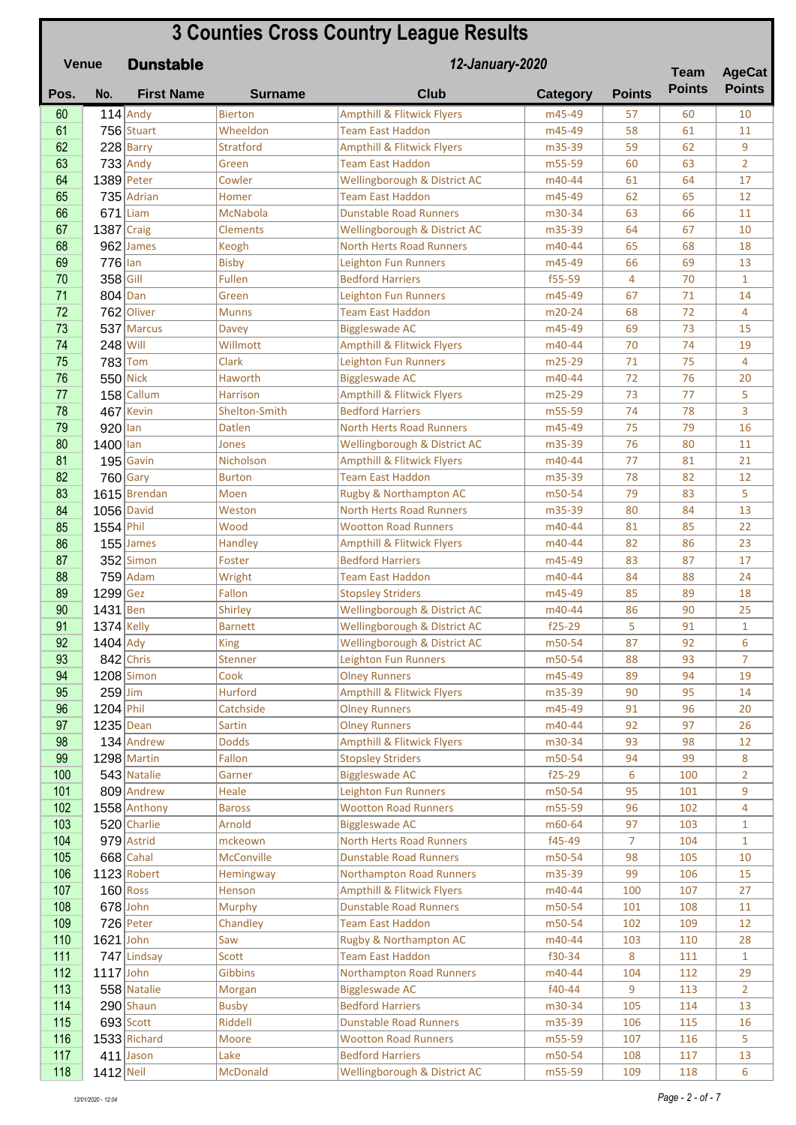|            | <b>3 Counties Cross Country League Results</b><br>12-January-2020<br><b>Venue</b><br><b>Dunstable</b> |                             |                              |                                                                        |                  |                |               | <b>AgeCat</b>      |
|------------|-------------------------------------------------------------------------------------------------------|-----------------------------|------------------------------|------------------------------------------------------------------------|------------------|----------------|---------------|--------------------|
| Pos.       | No.                                                                                                   | <b>First Name</b>           | <b>Surname</b>               | <b>Club</b>                                                            | <b>Category</b>  | <b>Points</b>  | <b>Points</b> | <b>Points</b>      |
| 60         |                                                                                                       | $114$ Andy                  | <b>Bierton</b>               | <b>Ampthill &amp; Flitwick Flyers</b>                                  | m45-49           | 57             | 60            | 10                 |
| 61         |                                                                                                       | 756 Stuart                  | Wheeldon                     | <b>Team East Haddon</b>                                                | m45-49           | 58             | 61            | 11                 |
| 62         |                                                                                                       | $228$ Barry                 | <b>Stratford</b>             | <b>Ampthill &amp; Flitwick Flyers</b>                                  | m35-39           | 59             | 62            | 9                  |
| 63         |                                                                                                       | $733$ Andy                  | Green                        | <b>Team East Haddon</b>                                                | m55-59           | 60             | 63            | $\overline{2}$     |
| 64         |                                                                                                       | $1389$ Peter                | Cowler                       | Wellingborough & District AC                                           | m40-44           | 61             | 64            | 17                 |
| 65         |                                                                                                       | 735 Adrian                  | Homer                        | <b>Team East Haddon</b>                                                | m45-49           | 62             | 65            | 12                 |
| 66         |                                                                                                       | $671$ Liam                  | <b>McNabola</b>              | <b>Dunstable Road Runners</b>                                          | m30-34           | 63             | 66            | 11                 |
| 67         | $1387$ Craig                                                                                          |                             | <b>Clements</b>              | Wellingborough & District AC                                           | m35-39           | 64             | 67            | 10                 |
| 68         |                                                                                                       | 962 James                   | Keogh                        | <b>North Herts Road Runners</b>                                        | m40-44           | 65             | 68            | 18                 |
| 69         | $776$ lan                                                                                             |                             | <b>Bisby</b>                 | <b>Leighton Fun Runners</b>                                            | m45-49           | 66             | 69            | 13                 |
| 70         | 358 Gill                                                                                              |                             | Fullen                       | <b>Bedford Harriers</b>                                                | f55-59           | $\overline{4}$ | 70            | $\mathbf{1}$       |
| 71         | $804$ Dan                                                                                             |                             | Green                        | <b>Leighton Fun Runners</b>                                            | m45-49           | 67             | 71            | 14                 |
| 72         |                                                                                                       | 762 Oliver                  | <b>Munns</b>                 | <b>Team East Haddon</b>                                                | m20-24           | 68             | 72            | 4                  |
| 73         |                                                                                                       | 537 Marcus                  | Davey                        | <b>Biggleswade AC</b>                                                  | m45-49           | 69             | 73            | 15                 |
| 74         | $248$ Will                                                                                            |                             | Willmott                     | <b>Ampthill &amp; Flitwick Flyers</b>                                  | m40-44           | 70             | 74            | 19                 |
| 75         |                                                                                                       | $783$ Tom                   | <b>Clark</b>                 | <b>Leighton Fun Runners</b>                                            | m25-29           | 71             | 75            | 4                  |
| 76         |                                                                                                       | $550$ Nick                  | Haworth                      | <b>Biggleswade AC</b>                                                  | m40-44           | 72             | 76            | 20                 |
| 77         |                                                                                                       | $158$ Callum                | <b>Harrison</b>              | <b>Ampthill &amp; Flitwick Flyers</b>                                  | m25-29           | 73             | 77            | 5                  |
| 78         |                                                                                                       | 467 Kevin                   | Shelton-Smith                | <b>Bedford Harriers</b>                                                | m55-59           | 74             | 78            | 3                  |
| 79         | $920$ lan                                                                                             |                             | <b>Datlen</b>                | <b>North Herts Road Runners</b>                                        | m45-49           | 75             | 79            | 16                 |
| 80         | 1400 lan                                                                                              |                             | Jones                        | Wellingborough & District AC                                           | m35-39           | 76             | 80            | 11                 |
| 81         |                                                                                                       | $195$ Gavin                 | Nicholson                    | <b>Ampthill &amp; Flitwick Flyers</b>                                  | m40-44           | 77             | 81            | 21                 |
| 82         |                                                                                                       | $760$ Gary                  | <b>Burton</b>                | <b>Team East Haddon</b>                                                | m35-39           | 78             | 82            | 12                 |
| 83         |                                                                                                       | 1615 Brendan                | Moen                         | Rugby & Northampton AC                                                 | m50-54           | 79             | 83            | 5                  |
| 84         |                                                                                                       | 1056 David                  | Weston                       | <b>North Herts Road Runners</b>                                        | m35-39           | 80             | 84            | 13                 |
| 85         | 1554 Phil                                                                                             |                             | Wood                         | <b>Wootton Road Runners</b>                                            | m40-44           | 81             | 85            | 22                 |
| 86         |                                                                                                       | $155$ James                 | Handley                      | <b>Ampthill &amp; Flitwick Flyers</b>                                  | m40-44           | 82             | 86            | 23                 |
| 87         |                                                                                                       | $352$ Simon                 | Foster                       | <b>Bedford Harriers</b>                                                | m45-49           | 83             | 87            | 17                 |
| 88         |                                                                                                       | $759$ Adam                  | Wright                       | <b>Team East Haddon</b>                                                | m40-44           | 84             | 88            | 24                 |
| 89         | 1299 Gez                                                                                              |                             | Fallon                       | <b>Stopsley Striders</b>                                               | m45-49           | 85             | 89            | 18                 |
| 90         | 1431 Ben                                                                                              |                             | Shirley                      | Wellingborough & District AC                                           | m40-44           | 86             | 90            | 25                 |
| 91         | $1374$ Kelly                                                                                          |                             | Barnett                      | Wellingborough & District AC                                           | f25-29           | 5              | 91            | 1                  |
| 92         | $1404$ Ady                                                                                            |                             | <b>King</b>                  | Wellingborough & District AC                                           | m50-54           | 87             | 92            | 6                  |
| 93         |                                                                                                       | $842$ Chris                 | Stenner                      | <b>Leighton Fun Runners</b>                                            | m50-54           | 88             | 93            | $\overline{7}$     |
| 94         |                                                                                                       | 1208 Simon                  | Cook                         | <b>Olney Runners</b>                                                   | m45-49           | 89             | 94            | 19                 |
| 95         | $259$ Jim                                                                                             |                             | <b>Hurford</b>               | <b>Ampthill &amp; Flitwick Flyers</b>                                  | m35-39           | 90             | 95            | 14                 |
| 96         | 1204 Phil                                                                                             |                             | Catchside                    | <b>Olney Runners</b>                                                   | m45-49           | 91             | 96            | 20                 |
| 97         | $1235$ Dean                                                                                           |                             | Sartin                       | <b>Olney Runners</b>                                                   | m40-44           | 92             | 97            | 26                 |
| 98         |                                                                                                       | 134 Andrew                  | <b>Dodds</b>                 | <b>Ampthill &amp; Flitwick Flyers</b>                                  | m30-34           | 93             | 98            | 12                 |
| 99         |                                                                                                       | 1298 Martin                 | Fallon                       | <b>Stopsley Striders</b>                                               | m50-54           | 94             | 99            | 8                  |
| 100        |                                                                                                       | 543 Natalie                 | Garner                       | <b>Biggleswade AC</b>                                                  | f25-29           | 6              | 100           | $\overline{2}$     |
| 101<br>102 |                                                                                                       | 809 Andrew                  | Heale                        | Leighton Fun Runners<br><b>Wootton Road Runners</b>                    | m50-54           | 95<br>96       | 101           | 9<br>4             |
|            |                                                                                                       | 1558 Anthony                | <b>Baross</b>                |                                                                        | m55-59           |                | 102           |                    |
| 103        |                                                                                                       | 520 Charlie                 | Arnold                       | <b>Biggleswade AC</b><br><b>North Herts Road Runners</b>               | m60-64<br>f45-49 | 97             | 103           | $\mathbf{1}$       |
| 104        |                                                                                                       | $979$ Astrid<br>$668$ Cahal | mckeown<br><b>McConville</b> | <b>Dunstable Road Runners</b>                                          |                  | 7              | 104           | $\mathbf{1}$       |
| 105        |                                                                                                       |                             |                              |                                                                        | m50-54           | 98             | 105           | 10                 |
| 106        |                                                                                                       | 1123 Robert                 | Hemingway                    | <b>Northampton Road Runners</b>                                        | m35-39           | 99             | 106           | 15                 |
| 107<br>108 |                                                                                                       | $160$ Ross<br>$678$ John    | <b>Henson</b><br>Murphy      | <b>Ampthill &amp; Flitwick Flyers</b><br><b>Dunstable Road Runners</b> | m40-44<br>m50-54 | 100<br>101     | 107<br>108    | 27<br>11           |
|            |                                                                                                       |                             |                              |                                                                        |                  |                |               |                    |
| 109<br>110 | $1621$ John                                                                                           | $726$ Peter                 | Chandley<br>Saw              | <b>Team East Haddon</b>                                                | m50-54           | 102            | 109           | 12                 |
|            |                                                                                                       | 747 Lindsay                 | Scott                        | Rugby & Northampton AC<br><b>Team East Haddon</b>                      | m40-44<br>f30-34 | 103<br>8       | 110<br>111    | 28<br>$\mathbf{1}$ |
| 111<br>112 | $1117$ John                                                                                           |                             |                              |                                                                        | m40-44           |                |               | 29                 |
| 113        |                                                                                                       | 558 Natalie                 | Gibbins                      | <b>Northampton Road Runners</b>                                        | $f40-44$         | 104<br>9       | 112           | $\overline{2}$     |
| 114        |                                                                                                       | $290$ Shaun                 | Morgan<br><b>Busby</b>       | <b>Biggleswade AC</b><br><b>Bedford Harriers</b>                       | m30-34           | 105            | 113<br>114    | 13                 |
| 115        |                                                                                                       | $693$ Scott                 | Riddell                      | <b>Dunstable Road Runners</b>                                          | m35-39           | 106            | 115           | 16                 |
| 116        |                                                                                                       | $1533$ Richard              | Moore                        | <b>Wootton Road Runners</b>                                            | m55-59           | 107            | 116           | 5                  |
| 117        |                                                                                                       | $411$ Jason                 | Lake                         | <b>Bedford Harriers</b>                                                | m50-54           | 108            | 117           | 13                 |
| 118        | $1412$ Neil                                                                                           |                             | McDonald                     | Wellingborough & District AC                                           | m55-59           | 109            | 118           | 6                  |
|            |                                                                                                       |                             |                              |                                                                        |                  |                |               |                    |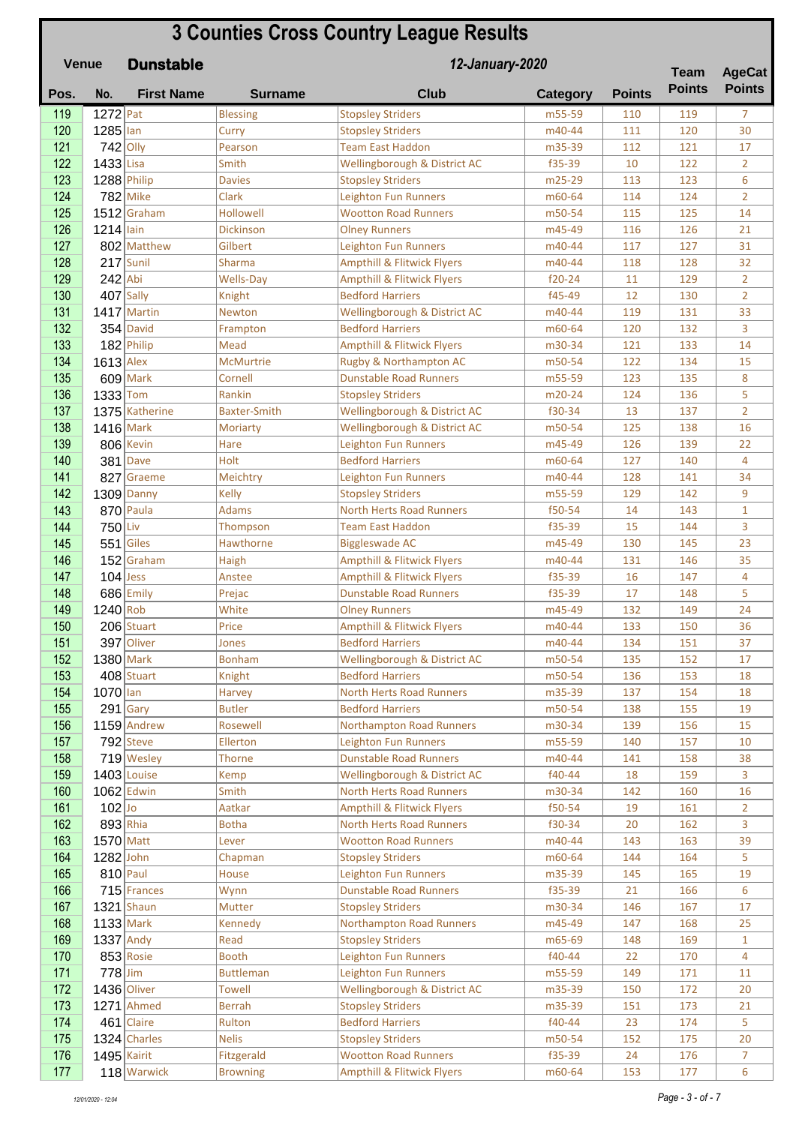| <b>3 Counties Cross Country League Results</b><br>12-January-2020<br><b>Dunstable</b><br><b>Venue</b><br><b>Team</b> |             |                   |                     |                                                                   |                  |               |               | <b>AgeCat</b>        |
|----------------------------------------------------------------------------------------------------------------------|-------------|-------------------|---------------------|-------------------------------------------------------------------|------------------|---------------|---------------|----------------------|
| Pos.                                                                                                                 | No.         | <b>First Name</b> | <b>Surname</b>      | <b>Club</b>                                                       | <b>Category</b>  | <b>Points</b> | <b>Points</b> | <b>Points</b>        |
| 119                                                                                                                  | $1272$ Pat  |                   | <b>Blessing</b>     | <b>Stopsley Striders</b>                                          | m55-59           | 110           | 119           | $\overline{7}$       |
| 120                                                                                                                  | 1285 lan    |                   | Curry               | <b>Stopsley Striders</b>                                          | m40-44           | 111           | 120           | 30                   |
| 121                                                                                                                  | $742$ Olly  |                   | Pearson             | <b>Team East Haddon</b>                                           | m35-39           | 112           | 121           | 17                   |
| 122                                                                                                                  | 1433 Lisa   |                   | Smith               | Wellingborough & District AC                                      | f35-39           | 10            | 122           | $\overline{2}$       |
| 123                                                                                                                  |             | 1288 Philip       | <b>Davies</b>       | <b>Stopsley Striders</b>                                          | m25-29           | 113           | 123           | 6                    |
| 124                                                                                                                  |             | $782$ Mike        | Clark               | <b>Leighton Fun Runners</b>                                       | m60-64           | 114           | 124           | $\overline{2}$       |
| 125                                                                                                                  |             | $1512$ Graham     | <b>Hollowell</b>    | <b>Wootton Road Runners</b>                                       | m50-54           | 115           | 125           | 14                   |
| 126                                                                                                                  | $1214$ lain |                   | Dickinson           | <b>Olney Runners</b>                                              | m45-49           | 116           | 126           | 21                   |
| 127                                                                                                                  |             | 802 Matthew       | Gilbert             | <b>Leighton Fun Runners</b>                                       | m40-44           | 117           | 127           | 31                   |
| 128                                                                                                                  |             | $217$ Sunil       | Sharma              | <b>Ampthill &amp; Flitwick Flyers</b>                             | m40-44           | 118           | 128           | 32                   |
| 129                                                                                                                  | $242$ Abi   |                   | <b>Wells-Day</b>    | <b>Ampthill &amp; Flitwick Flyers</b>                             | $f20-24$         | 11            | 129           | $\overline{2}$       |
| 130                                                                                                                  |             | $407$ Sally       | Knight              | <b>Bedford Harriers</b>                                           | f45-49           | 12            | 130           | $\overline{2}$       |
| 131                                                                                                                  |             | 1417 Martin       | Newton              | Wellingborough & District AC                                      | m40-44           | 119           | 131           | 33                   |
| 132                                                                                                                  |             | $354$ David       | Frampton            | <b>Bedford Harriers</b>                                           | m60-64           | 120           | 132           | 3                    |
| 133                                                                                                                  |             | 182 Philip        | Mead                | <b>Ampthill &amp; Flitwick Flyers</b>                             | m30-34           | 121           | 133           | 14                   |
| 134                                                                                                                  | $1613$ Alex |                   | <b>McMurtrie</b>    | Rugby & Northampton AC                                            | m50-54           | 122           | 134           | 15                   |
| 135                                                                                                                  |             | $609$ Mark        | Cornell             | <b>Dunstable Road Runners</b>                                     | m55-59           | 123           | 135           | 8                    |
| 136                                                                                                                  | $1333$ Tom  | 1375 Katherine    | Rankin              | <b>Stopsley Striders</b>                                          | m20-24           | 124           | 136           | 5                    |
| 137<br>138                                                                                                           | 1416 Mark   |                   | <b>Baxter-Smith</b> | Wellingborough & District AC                                      | f30-34<br>m50-54 | 13<br>125     | 137<br>138    | $\overline{2}$<br>16 |
| 139                                                                                                                  |             | 806 Kevin         | Moriarty<br>Hare    | Wellingborough & District AC<br><b>Leighton Fun Runners</b>       | m45-49           | 126           | 139           | 22                   |
| 140                                                                                                                  |             | $381$ Dave        | Holt                | <b>Bedford Harriers</b>                                           | m60-64           | 127           | 140           | 4                    |
| 141                                                                                                                  |             | 827 Graeme        | Meichtry            | <b>Leighton Fun Runners</b>                                       | m40-44           | 128           | 141           | 34                   |
| 142                                                                                                                  |             | $1309$ Danny      | <b>Kelly</b>        | <b>Stopsley Striders</b>                                          | m55-59           | 129           | 142           | 9                    |
| 143                                                                                                                  |             | 870 Paula         | <b>Adams</b>        | <b>North Herts Road Runners</b>                                   | f50-54           | 14            | 143           | $\mathbf{1}$         |
| 144                                                                                                                  | $750$ Liv   |                   | Thompson            | <b>Team East Haddon</b>                                           | f35-39           | 15            | 144           | 3                    |
| 145                                                                                                                  |             | $551$ Giles       | Hawthorne           | <b>Biggleswade AC</b>                                             | m45-49           | 130           | 145           | 23                   |
| 146                                                                                                                  |             | $152$ Graham      | Haigh               | <b>Ampthill &amp; Flitwick Flyers</b>                             | m40-44           | 131           | 146           | 35                   |
| 147                                                                                                                  | $104$ Jess  |                   | Anstee              | <b>Ampthill &amp; Flitwick Flyers</b>                             | f35-39           | 16            | 147           | 4                    |
| 148                                                                                                                  |             | $686$ Emily       | Prejac              | <b>Dunstable Road Runners</b>                                     | f35-39           | 17            | 148           | 5                    |
| 149                                                                                                                  | $1240$ Rob  |                   | White               | <b>Olney Runners</b>                                              | m45-49           | 132           | 149           | 24                   |
| 150                                                                                                                  |             | 206 Stuart        | Price               | <b>Ampthill &amp; Flitwick Flyers</b>                             | m40-44           | 133           | 150           | 36                   |
| 151                                                                                                                  |             | 397 Oliver        | Jones               | <b>Bedford Harriers</b>                                           | m40-44           | 134           | 151           | 37                   |
| 152                                                                                                                  |             | $1380$ Mark       | <b>Bonham</b>       | Wellingborough & District AC                                      | m50-54           | 135           | 152           | 17                   |
| 153                                                                                                                  |             | $408$ Stuart      | Knight              | <b>Bedford Harriers</b>                                           | m50-54           | 136           | 153           | 18                   |
| 154                                                                                                                  | 1070 lan    |                   | <b>Harvey</b>       | <b>North Herts Road Runners</b>                                   | m35-39           | 137           | 154           | 18                   |
| 155                                                                                                                  |             | $291$ Gary        | <b>Butler</b>       | <b>Bedford Harriers</b>                                           | m50-54           | 138           | 155           | 19                   |
| 156                                                                                                                  |             | $1159$ Andrew     | Rosewell            | <b>Northampton Road Runners</b>                                   | m30-34           | 139           | 156           | 15                   |
| 157                                                                                                                  |             | $792$ Steve       | Ellerton            | <b>Leighton Fun Runners</b>                                       | m55-59           | 140           | 157           | 10                   |
| 158                                                                                                                  |             | 719 Wesley        | Thorne              | <b>Dunstable Road Runners</b>                                     | m40-44           | 141           | 158           | 38                   |
| 159                                                                                                                  |             | $1403$ Louise     | Kemp                | Wellingborough & District AC                                      | f40-44           | 18            | 159           | 3                    |
| 160<br>161                                                                                                           | $102$ Jo    | $1062$ Edwin      | Smith<br>Aatkar     | North Herts Road Runners<br><b>Ampthill &amp; Flitwick Flyers</b> | m30-34<br>f50-54 | 142<br>19     | 160<br>161    | 16<br>$\overline{2}$ |
| 162                                                                                                                  |             | $893$ Rhia        | <b>Botha</b>        | North Herts Road Runners                                          | f30-34           | 20            | 162           | 3                    |
| 163                                                                                                                  | $1570$ Matt |                   | Lever               | <b>Wootton Road Runners</b>                                       | m40-44           | 143           | 163           | 39                   |
| 164                                                                                                                  | $1282$ John |                   | Chapman             | <b>Stopsley Striders</b>                                          | m60-64           | 144           | 164           | 5                    |
| 165                                                                                                                  |             | $810$ Paul        | House               | <b>Leighton Fun Runners</b>                                       | m35-39           | 145           | 165           | 19                   |
| 166                                                                                                                  |             | $715$ Frances     | Wynn                | <b>Dunstable Road Runners</b>                                     | f35-39           | 21            | 166           | 6                    |
| 167                                                                                                                  |             | $1321$ Shaun      | <b>Mutter</b>       | <b>Stopsley Striders</b>                                          | m30-34           | 146           | 167           | 17                   |
| 168                                                                                                                  |             | $1133$ Mark       | Kennedy             | Northampton Road Runners                                          | m45-49           | 147           | 168           | 25                   |
| 169                                                                                                                  | $1337$ Andy |                   | Read                | <b>Stopsley Striders</b>                                          | m65-69           | 148           | 169           | $\mathbf{1}$         |
| 170                                                                                                                  |             | $853$ Rosie       | <b>Booth</b>        | Leighton Fun Runners                                              | f40-44           | 22            | 170           | $\overline{4}$       |
| 171                                                                                                                  | $778$ Jim   |                   | <b>Buttleman</b>    | Leighton Fun Runners                                              | m55-59           | 149           | 171           | 11                   |
| 172                                                                                                                  |             | 1436 Oliver       | <b>Towell</b>       | Wellingborough & District AC                                      | m35-39           | 150           | 172           | 20                   |
| 173                                                                                                                  |             | $1271$ Ahmed      | <b>Berrah</b>       | <b>Stopsley Striders</b>                                          | m35-39           | 151           | 173           | 21                   |
| 174                                                                                                                  |             | $461$ Claire      | Rulton              | <b>Bedford Harriers</b>                                           | f40-44           | 23            | 174           | 5                    |
| 175                                                                                                                  |             | 1324 Charles      | <b>Nelis</b>        | <b>Stopsley Striders</b>                                          | m50-54           | 152           | 175           | 20                   |
| 176                                                                                                                  | 1495 Kairit |                   | Fitzgerald          | <b>Wootton Road Runners</b>                                       | f35-39           | 24            | 176           | $\overline{7}$       |
| 177                                                                                                                  |             | 118 Warwick       | <b>Browning</b>     | <b>Ampthill &amp; Flitwick Flyers</b>                             | m60-64           | 153           | 177           | 6                    |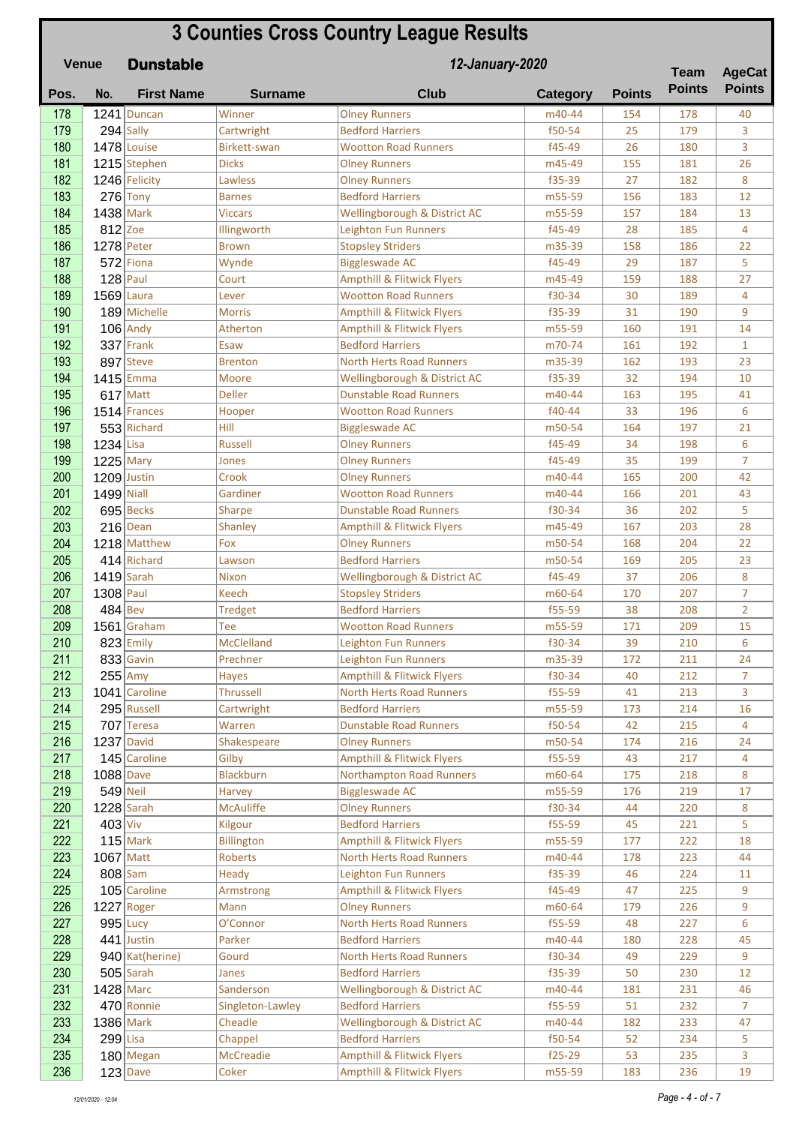## **Pos. No. First Name Surname Club Category Points Dunstable 3 Counties Cross Country League Results Venue Team Points 12-January-2020 Team AgeCat Points** 178 1241 Duncan Winner Molney Runners Manuel Manager 154 178 178 140 179 294 Sally Cartwright Bedford Harriers **f50-54** 25 179 3 180 1478 Louise Birkett-swan Wootton Road Runners 145-49 26 180 3 181 1215 Stephen Dicks | Olney Runners | m45-49 | 155 | 181 | 26 182 1246 Felicity Lawless **Olney Runners** 1835-39 27 182 8 183 276 Tony Barnes Bedford Harriers 183 5-59 156 183 12 184 1438 Mark Viccars Wellingborough & District AC m55-59 157 184 13 185 812 Zoe Illingworth Leighton Fun Runners 185-49 28 185 4 186 1278 Peter Brown Stopsley Striders m35-39 158 186 22 187 572 Fiona Wynde Biggleswade AC f45-49 29 187 5 188 128 Paul Court Ampthill & Flitwick Flyers 185-49 159 188 27 189 1569 Laura Lever Nootton Road Runners | f30-34 | 30 | 189 | 4 190 189 Michelle Morris Ampthill & Flitwick Flyers 155-39 31 190 9 191 106 Andy Atherton Ampthill & Flitwick Flyers m55-59 160 191 14 192 337 Frank | Esaw Bedford Harriers | m70-74 | 161 | 192 | 1 193 897 Steve Brenton North Herts Road Runners – m35-39 162 193 23 194 1415 Emma Moore Wellingborough & District AC f35-39 32 194 10 195 617 Matt Deller Dunstable Road Runners 195 m40-44 163 195 41 196 1514 Frances Hooper Wootton Road Runners | f40-44 | 33 | 196 | 6 197 553 Richard Hill Biggleswade AC 197 553 Richard Hill Biggleswade AC 197 810 164 197 21 198 1234 Lisa Russell Olney Runners 15-49 134 198 6 199 1225 Mary Jones Diney Runners 199 135 199 7  $200$  1209 Justin Crook  $\vert$  Olney Runners  $\vert$  m40-44 165 200 42 201 1499 Niall Mardiner Nootton Road Runners March 166 201 43 202 695 Becks Sharpe Dunstable Road Runners 1 50-34 36 202 5 203 216 Dean Shanley Ampthill & Flitwick Flyers m45-49 167 203 28  $204$  1218 Matthew Fox Diney Runners – m50-54 168 204 22 205 414 Richard Lawson Bedford Harriers 1988 m50-54 169 205 23 206 1419 Sarah Nixon Wellingborough & District AC f45-49 37 206 8  $207$  1308 Paul Keech Stopsley Striders m60-64 170 207 7  $208$  484 Bev Tredget Bedford Harriers f55-59 38 208 2 209 1561 Graham Tee Wootton Road Runners 1955-59 171 209 15 210 823 Emily McClelland Leighton Fun Runners f30-34 39 210 6 211 833 Gavin Prechner Leighton Fun Runners 1983-39 172 211 24 212 255 Amy Hayes Ampthill & Flitwick Flyers 130-34 40 212 7 213 1041 Caroline Thrussell North Herts Road Runners F55-59 41 213 3 **214** 295 Russell Cartwright Bedford Harriers 16 m55-59 173 214 16 215 707 Teresa Warren Dunstable Road Runners f50-54 42 215 4 216 1237 David Shakespeare Olney Runners m50-54 174 216 24 217 145 Caroline Gilby Ampthill & Flitwick Flyers | 55-59 43 217 44 218 1088 Dave Blackburn Northampton Road Runners 160-64 175 218 8 219 549 Neil Harvey Biggleswade AC m55-59 176 219 17 220 1228 Sarah McAuliffe Olney Runners 130-34 44 220 8  $221$  403 Viv Kilgour Bedford Harriers f55-59 45 221 5 222 115 Mark Billington Ampthill & Flitwick Flyers m55-59 177 222 18 223 1067 Matt Roberts North Herts Road Runners 1980-44 178 223 44 224 808 Sam Heady Leighton Fun Runners 155-39 46 224 11 225 105 Caroline Armstrong Ampthill & Flitwick Flyers F45-49 47 225 9 226 1227 Roger Mann Mann Olney Runners 1986 1227 | 226 | 9 227 995 Lucy O'Connor North Herts Road Runners | f55-59 | 48 | 227 | 6  $228$  441 Justin Parker Bedford Harriers 1980 180 228 45 229 940 Kat(herine) Gourd North Herts Road Runners 1 630-34 49 229 9  $230$  505 Sarah Janes Bedford Harriers 155-39 50 230 12 231 1428 Marc Sanderson Wellingborough & District AC m40-44 181 231 46 **232** 470 Ronnie Singleton-Lawley Bedford Harriers **f** f55-59 51 232 7 233 1386 Mark Cheadle Wellingborough & District AC m40-44 182 233 47  $234$   $299$  Lisa Chappel Bedford Harriers f50-54 52 234 5 235 180 Megan McCreadie | Ampthill & Flitwick Flyers | f25-29 | 53 | 235 | 3 236 123 Dave Coker Ampthill & Flitwick Flyers m55-59 183 236 19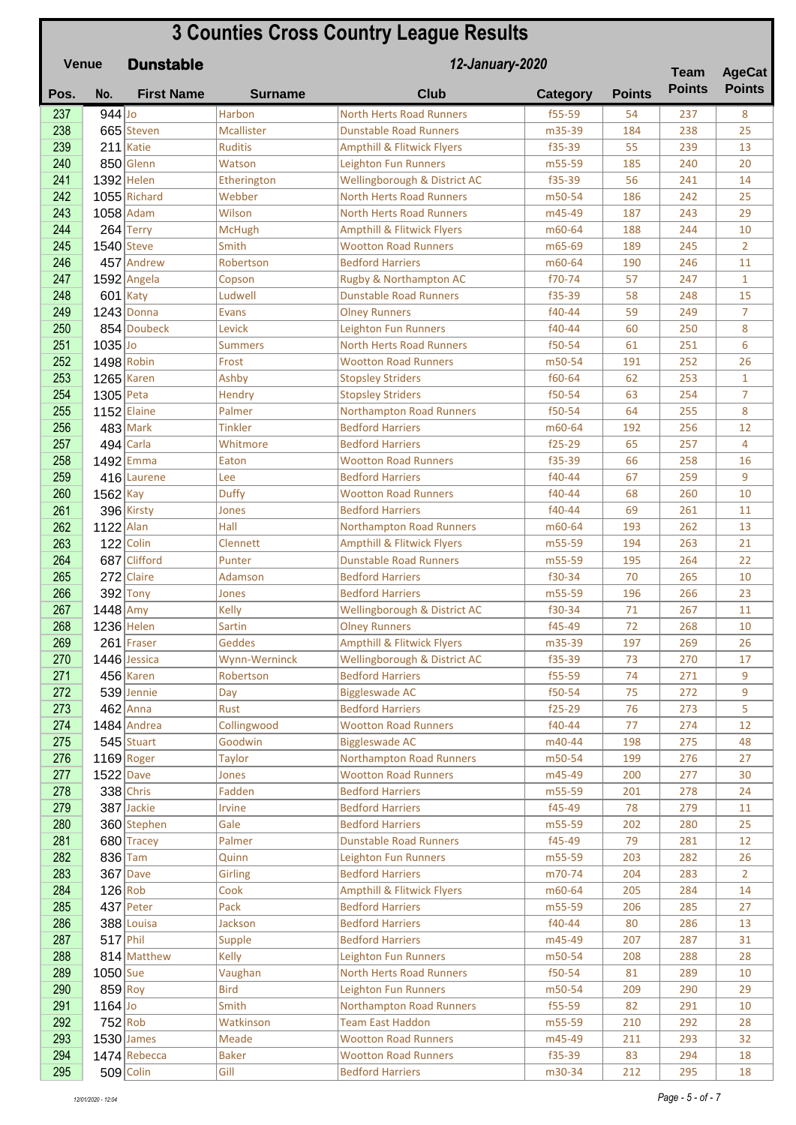## **Pos. No. First Name Surname Club Category Points Dunstable 3 Counties Cross Country League Results Venue Team Points 12-January-2020 Team AgeCat Points** 237 944 Jo Harbon North Herts Road Runners f55-59 54 237 8 238 665 Steven Mcallister Dunstable Road Runners 1 m35-39 184 238 25 239 211 Katie Ruditis Ampthill & Flitwick Flyers Fits Fiss-39 1 239 13 240 850 Glenn Watson Leighton Fun Runners 1955-59 185 240 20 241 1392 Helen Etherington Wellingborough & District AC f35-39 56 241 14 242 1055 Richard Webber North Herts Road Runners m50-54 186 242 25 243 1058 Adam 1058 Wilson North Herts Road Runners 1988 187 187 243 29 244 264 Terry McHugh Ampthill & Flitwick Flyers m60-64 188 244 10 245 1540 Steve Smith Wootton Road Runners 1665-69 189 245 245  $246$  457 Andrew Robertson Bedford Harriers – 10 m60-64 190 246 11 247 1592 Angela Copson Rugby & Northampton AC f70-74 57 247 1 248 601 Katy 15 Ludwell **Dunstable Road Runners** 153-39 158 248 15 249 1243 Donna Evans Olney Runners f40-44 59 249 7 250 854 Doubeck Levick Leighton Fun Runners 140-44 60 250 8 251 1035 Jo Summers North Herts Road Runners | 50-54 61 251 6 252 1498 Robin Frost Wootton Road Runners 1950-54 191 252 26  $253$  1265 Karen Ashby Stopsley Striders f60-64 62 253 1 254 1305 Peta Hendry Stopsley Striders f50-54 63 254 7 255 1152 Elaine Palmer Northampton Road Runners | f50-54 | 64 | 255 | 8  $256$  483 Mark Tinkler Bedford Harriers – m60-64 192 256 12 257 494 Carla Whitmore Bedford Harriers f25-29 65 257 4 258 1492 Emma Baton Nootton Road Runners 155-39 66 258 16  $259$  416 Laurene Lee Bedford Harriers F40-44 67 259 9 260 1562 Kay Duffy Wootton Road Runners f40-44 68 260 10  $261$  396 Kirsty Jones Bedford Harriers 140-44 69 261 11 262 1122 Alan Hall Northampton Road Runners m60-64 193 262 13 263 122 Colin Clennett Ampthill & Flitwick Flyers m55-59 194 263 21 264 687 Clifford Punter Dunstable Road Runners m55-59 195 264 22 265 272 Claire Adamson Bedford Harriers 10 10 10 10 10 265 10  $266$  392 Tony Jones Bedford Harriers 1955-59 196 266 23 267 1448 Amy Kelly Wellingborough & District AC f30-34 71 267 11 268 1236 Helen Sartin Sartin Olney Runners 1994 15-49 72 268 10 269 261 Fraser Geddes Ampthill & Flitwick Flyers m35-39 197 269 26 270 1446 Jessica Mynn-Werninck Wellingborough & District AC f35-39 73 270 17  $271$  456 Karen Robertson Bedford Harriers f55-59 74 271 9 272 539 Jennie Day Biggleswade AC f50-54 75 272 9 **273 462** Anna Rust Bedford Harriers **f25-29** 76 273 5 274 1484 Andrea Collingwood Wootton Road Runners 140-44 77 274 12 2<mark>75 545</mark> Stuart Goodwin Biggleswade AC 198 m40-44 198 275 48 276 1169 Roger Taylor Northampton Road Runners m50-54 199 276 27 277 1522 Dave Jones Wootton Road Runners – m45-49 200 277 30  $278$  338 Chris Fadden Bedford Harriers 1985-59 201 278 24  $279$  387 Jackie Irvine Bedford Harriers Fatal 11 and  $279$  78 279 11 280 360 Stephen Gale Bedford Harriers m55-59 202 280 25 281 680 Tracey Palmer Dunstable Road Runners F45-49 79 281 12 282 836 Tam Quinn Leighton Fun Runners m55-59 203 282 26 **283** 367 Dave Girling Bedford Harriers 1970-74 204 283 2 284 126 Rob Cook Ampthill & Flitwick Flyers m60-64 205 284 14  $285$  437 Peter Pack Bedford Harriers 1985 805-59 206 285 27  $286$  388 Louisa Jackson Bedford Harriers F40-44 80 286 13 287 517 Phil Supple Bedford Harriers 1998 817 927 287 31 **288 814** Matthew Kelly Leighton Fun Runners 1985-64 208 288 28 **289 1050** Sue Vaughan North Herts Road Runners | f50-54 81 289 10 200 859 Roy Bird Leighton Fun Runners 1995 - 1996 290 290 290 291 200 291 200 291 200 291 200 291 20 291 1164 Jo Smith Northampton Road Runners f55-59 82 291 10 202 752 Rob Watkinson Team East Haddon m55-59 210 292 28 293 1530 James Meade Wootton Road Runners – m45-49 211 293 32

294 1474 Rebecca Baker Wootton Road Runners 155-39 83 294 18 295 509 Colin Gill Gill Bedford Harriers 18 m30-34 212 295 18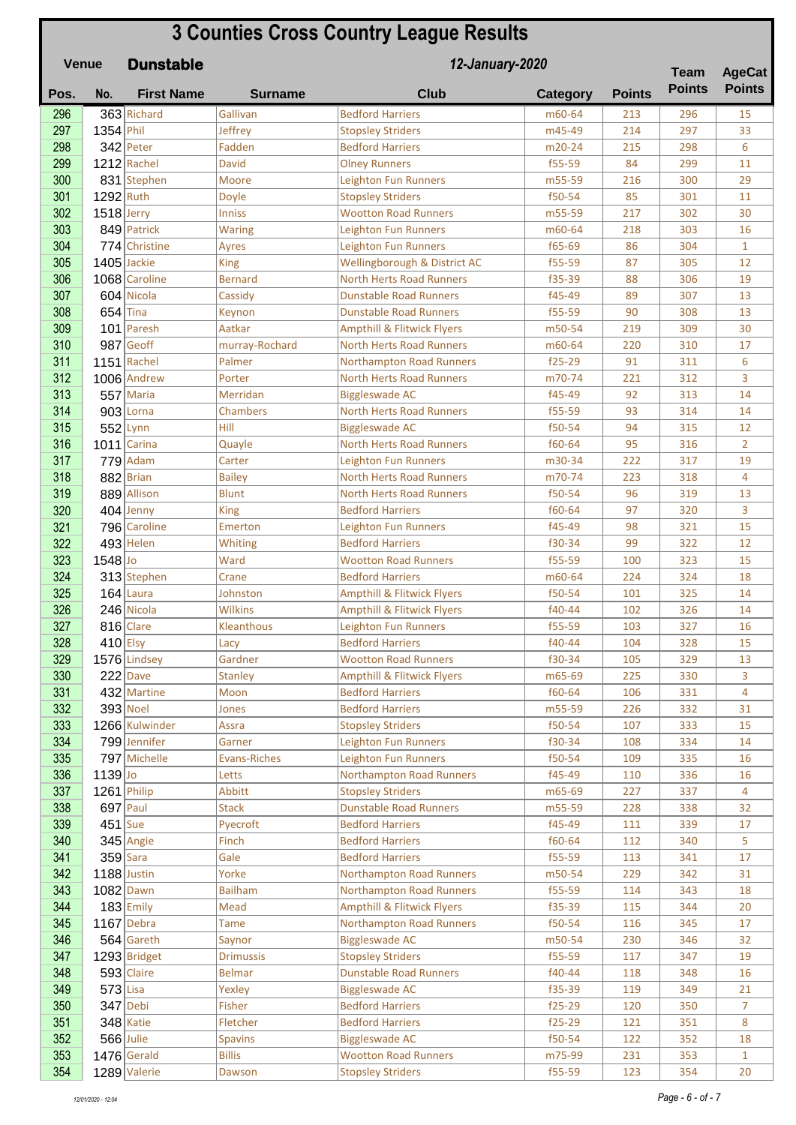| <b>3 Counties Cross Country League Results</b><br>12-January-2020<br><b>Venue</b><br><b>Dunstable</b> |              |                             |                        |                                                            |                      |               | <b>Team</b>   | <b>AgeCat</b>        |
|-------------------------------------------------------------------------------------------------------|--------------|-----------------------------|------------------------|------------------------------------------------------------|----------------------|---------------|---------------|----------------------|
| Pos.                                                                                                  | No.          | <b>First Name</b>           | <b>Surname</b>         | <b>Club</b>                                                | <b>Category</b>      | <b>Points</b> | <b>Points</b> | <b>Points</b>        |
| 296                                                                                                   |              | 363 Richard                 | Gallivan               | <b>Bedford Harriers</b>                                    | m60-64               | 213           | 296           | 15                   |
| 297                                                                                                   | 1354 Phil    |                             | Jeffrey                | <b>Stopsley Striders</b>                                   | m45-49               | 214           | 297           | 33                   |
| 298                                                                                                   |              | $342$ Peter                 | Fadden                 | <b>Bedford Harriers</b>                                    | m20-24               | 215           | 298           | 6                    |
| 299                                                                                                   |              | $1212$ Rachel               | <b>David</b>           | <b>Olney Runners</b>                                       | f55-59               | 84            | 299           | 11                   |
| 300                                                                                                   |              | 831 Stephen                 | Moore                  | <b>Leighton Fun Runners</b>                                | m55-59               | 216           | 300           | 29                   |
| 301                                                                                                   | $1292$ Ruth  |                             | Doyle                  | <b>Stopsley Striders</b>                                   | f50-54               | 85            | 301           | 11                   |
| 302                                                                                                   | $1518$ Jerry |                             | <b>Inniss</b>          | <b>Wootton Road Runners</b>                                | m55-59               | 217           | 302           | 30                   |
| 303                                                                                                   |              | 849 Patrick                 | Waring                 | Leighton Fun Runners                                       | m60-64               | 218           | 303           | 16                   |
| 304                                                                                                   |              | 774 Christine               | Ayres                  | <b>Leighton Fun Runners</b>                                | f65-69               | 86            | 304           | $\mathbf{1}$         |
| 305                                                                                                   |              | 1405 Jackie                 | <b>King</b>            | Wellingborough & District AC                               | f55-59               | 87            | 305           | 12                   |
| 306                                                                                                   |              | 1068 Caroline               | <b>Bernard</b>         | <b>North Herts Road Runners</b>                            | f35-39               | 88            | 306           | 19                   |
| 307                                                                                                   |              | 604 Nicola                  | Cassidy                | <b>Dunstable Road Runners</b>                              | f45-49               | 89            | 307           | 13                   |
| 308                                                                                                   | $654$ Tina   |                             | Keynon                 | <b>Dunstable Road Runners</b>                              | f55-59               | 90            | 308           | 13                   |
| 309                                                                                                   |              | 101 Paresh                  | Aatkar                 | <b>Ampthill &amp; Flitwick Flyers</b>                      | m50-54               | 219           | 309           | 30                   |
| 310                                                                                                   |              | 987 Geoff                   | murray-Rochard         | <b>North Herts Road Runners</b>                            | m60-64               | 220           | 310           | 17                   |
| 311                                                                                                   |              | $1151$ Rachel               | Palmer                 | <b>Northampton Road Runners</b>                            | $f25-29$             | 91            | 311           | 6                    |
| 312                                                                                                   |              | 1006 Andrew                 | Porter                 | <b>North Herts Road Runners</b>                            | m70-74               | 221           | 312           | 3                    |
| 313                                                                                                   |              | $557$ Maria                 | Merridan               | <b>Biggleswade AC</b>                                      | f45-49               | 92            | 313           | 14                   |
| 314                                                                                                   |              | $903$ Lorna                 | Chambers               | <b>North Herts Road Runners</b>                            | f55-59               | 93            | 314           | 14                   |
| 315                                                                                                   |              | $552$ Lynn                  | Hill                   | <b>Biggleswade AC</b>                                      | f50-54               | 94            | 315           | 12                   |
| 316                                                                                                   |              | $1011$ Carina               | Quayle                 | <b>North Herts Road Runners</b>                            | f60-64               | 95            | 316           | $\overline{2}$       |
| 317                                                                                                   |              | $779$ Adam                  | Carter                 | <b>Leighton Fun Runners</b>                                | m30-34               | 222           | 317           | 19                   |
| 318                                                                                                   |              | $882$ Brian                 | <b>Bailey</b>          | <b>North Herts Road Runners</b>                            | m70-74               | 223           | 318           | $\overline{4}$       |
| 319                                                                                                   |              | 889 Allison                 | <b>Blunt</b>           | <b>North Herts Road Runners</b><br><b>Bedford Harriers</b> | f50-54<br>f60-64     | 96<br>97      | 319<br>320    | 13<br>3              |
| 320<br>321                                                                                            |              | $404$ Jenny<br>796 Caroline | <b>King</b><br>Emerton | <b>Leighton Fun Runners</b>                                | f45-49               | 98            | 321           | 15                   |
| 322                                                                                                   |              | $493$ Helen                 | Whiting                | <b>Bedford Harriers</b>                                    | f30-34               | 99            | 322           | 12                   |
| 323                                                                                                   | 1548 Jo      |                             | Ward                   | <b>Wootton Road Runners</b>                                | f55-59               | 100           | 323           | 15                   |
| 324                                                                                                   |              | 313 Stephen                 | Crane                  | <b>Bedford Harriers</b>                                    | m60-64               | 224           | 324           | 18                   |
| 325                                                                                                   |              | $164$ Laura                 | Johnston               | <b>Ampthill &amp; Flitwick Flyers</b>                      | f50-54               | 101           | 325           | 14                   |
| 326                                                                                                   |              | 246 Nicola                  | <b>Wilkins</b>         | <b>Ampthill &amp; Flitwick Flyers</b>                      | f40-44               | 102           | 326           | 14                   |
| 327                                                                                                   |              | $816$ Clare                 | Kleanthous             | Leighton Fun Runners                                       | f55-59               | 103           | 327           | 16                   |
| 328                                                                                                   | $410$ Elsy   |                             | Lacy                   | <b>Bedford Harriers</b>                                    | f40-44               | 104           | 328           | 15                   |
| 329                                                                                                   |              | 1576 Lindsey                | Gardner                | <b>Wootton Road Runners</b>                                | f30-34               | 105           | 329           | 13                   |
| 330                                                                                                   |              | $222$ Dave                  | <b>Stanley</b>         | <b>Ampthill &amp; Flitwick Flyers</b>                      | m65-69               | 225           | 330           | 3                    |
| 331                                                                                                   |              | 432 Martine                 | Moon                   | <b>Bedford Harriers</b>                                    | f60-64               | 106           | 331           | 4                    |
| 332                                                                                                   |              | $393$ Noel                  | Jones                  | <b>Bedford Harriers</b>                                    | m55-59               | 226           | 332           | 31                   |
| 333                                                                                                   |              | 1266 Kulwinder              | Assra                  | <b>Stopsley Striders</b>                                   | f50-54               | 107           | 333           | 15                   |
| 334                                                                                                   |              | 799 Jennifer                | Garner                 | <b>Leighton Fun Runners</b>                                | f30-34               | 108           | 334           | 14                   |
| 335                                                                                                   |              | 797 Michelle                | <b>Evans-Riches</b>    | <b>Leighton Fun Runners</b>                                | f50-54               | 109           | 335           | 16                   |
| 336                                                                                                   | $1139$ Jo    |                             | Letts                  | <b>Northampton Road Runners</b>                            | f45-49               | 110           | 336           | 16                   |
| 337                                                                                                   |              | $1261$ Philip               | Abbitt                 | <b>Stopsley Striders</b>                                   | m65-69               | 227           | 337           | 4                    |
| 338                                                                                                   |              | $697$ Paul                  | <b>Stack</b>           | <b>Dunstable Road Runners</b>                              | m55-59               | 228           | 338           | 32                   |
| 339                                                                                                   | $451$ Sue    |                             | Pyecroft               | <b>Bedford Harriers</b>                                    | f45-49               | 111           | 339           | 17                   |
| 340                                                                                                   |              | $345$ Angie                 | Finch                  | <b>Bedford Harriers</b>                                    | f60-64               | 112           | 340           | 5                    |
| 341                                                                                                   |              | $359$ Sara                  | Gale                   | <b>Bedford Harriers</b>                                    | f55-59               | 113           | 341           | 17                   |
| 342                                                                                                   |              | 1188 Justin                 | Yorke                  | <b>Northampton Road Runners</b>                            | m50-54               | 229           | 342           | 31                   |
| 343                                                                                                   |              | $1082$ Dawn                 | <b>Bailham</b>         | <b>Northampton Road Runners</b>                            | f55-59               | 114           | 343           | 18                   |
| 344                                                                                                   |              | $183$ Emily                 | Mead                   | <b>Ampthill &amp; Flitwick Flyers</b>                      | f35-39               | 115           | 344           | 20                   |
| 345                                                                                                   |              | $1167$ Debra                | <b>Tame</b>            | <b>Northampton Road Runners</b>                            | f50-54               | 116           | 345           | 17                   |
| 346                                                                                                   |              | $564$ Gareth                | Saynor                 | <b>Biggleswade AC</b>                                      | m50-54               | 230           | 346           | 32                   |
| 347                                                                                                   |              | 1293 Bridget                | <b>Drimussis</b>       | <b>Stopsley Striders</b>                                   | f55-59               | 117           | 347           | 19                   |
| 348                                                                                                   |              | $593$ Claire                | <b>Belmar</b>          | <b>Dunstable Road Runners</b>                              | f40-44               | 118           | 348           | 16                   |
| 349                                                                                                   | $573$ Lisa   |                             | Yexley                 | <b>Biggleswade AC</b><br><b>Bedford Harriers</b>           | f35-39               | 119           | 349           | 21<br>$\overline{7}$ |
| 350<br>351                                                                                            |              | 347 Debi<br>$348$ Katie     | Fisher<br>Fletcher     | <b>Bedford Harriers</b>                                    | $f25-29$<br>$f25-29$ | 120<br>121    | 350<br>351    | 8                    |
| 352                                                                                                   |              | $566$ Julie                 | <b>Spavins</b>         | <b>Biggleswade AC</b>                                      | f50-54               | 122           | 352           | 18                   |
| 353                                                                                                   |              | $1476$ Gerald               | <b>Billis</b>          | <b>Wootton Road Runners</b>                                | m75-99               | 231           | 353           | $\mathbf{1}$         |
| 354                                                                                                   |              | 1289 Valerie                | Dawson                 | <b>Stopsley Striders</b>                                   | f55-59               | 123           | 354           | 20                   |
|                                                                                                       |              |                             |                        |                                                            |                      |               |               |                      |